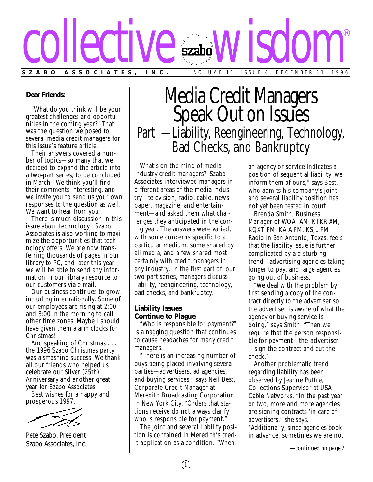

#### **Dear Friends:**

"What do you think will be your greatest challenges and opportunities in the coming year?" That was the question we posed to several media credit managers for this issue's feature article.

Their answers covered a number of topics—so many that we decided to expand the article into a two-part series, to be concluded in March. We think you'll find their comments interesting, and we invite you to send us your own responses to the question as well. We want to hear from you!

There is much discussion in this issue about technology. Szabo Associates is also working to maximize the opportunities that technology offers. We are now trans ferring thousands of pages in our library to PC, and later this year we will be able to send any information in our library resource to our customers via e-mail.

Our business continues to grow, including internationally. Some of our employees are rising at 2:00 and 3:00 in the morning to call other time zones. Maybe I should have given them alarm clocks for Christmas!

And speaking of Christmas . . . the 1996 Szabo Christmas party was a smashing success. We thank all our friends who helped us celebrate our Silver (25th) Anniversary and another great year for Szabo Associates.

Best wishes for a happy and prosperous 1997,

Pete Szabo, President Szabo Associates, Inc.

# Media Credit Managers Speak Out on Issues Part I—Liability, Reengineering, Technology, Bad Checks, and Bankruptcy

What's on the mind of media industry credit managers? Szabo Associates interviewed managers in different areas of the media industry—television, radio, cable, newspaper, magazine, and entertainment—and asked them what challenges they anticipated in the coming year. The answers were varied, with some concerns specific to a particular medium, some shared by all media, and a few shared most certainly with credit managers in any industry. In the first part of our two-part series, managers discuss liability, reengineering, technology, bad checks, and bankruptcy.

### **Liability Issues Continue to Plague**

"Who is responsible for payment?" is a nagging question that continues to cause headaches for many credit managers.

"There is an increasing number of buys being placed involving several parties—advertisers, ad agencies, and buying services," says Neil Best, Corporate Credit Manager at Meredith Broadcasting Corporation in New York City. "Orders that stations receive do not always clarify who is responsible for payment."

The joint and several liability position is contained in Meredith's credit application as a condition. "When

an agency or service indicates a position of sequential liability, we inform them of ours," says Best, who admits his company's joint and several liability position has not yet been tested in court.

Brenda Smith, Business Manager of WOAI-AM, KTKR-AM, KQXT-FM, KAJA-FM, KSJL-FM Radio in San Antonio, Texas, feels that the liability issue is further complicated by a disturbing trend—advertising agencies taking longer to pay, and large agencies going out of business.

"We deal with the problem by first sending a copy of the contract directly to the advertiser so the advertiser is aware of what the agency or buying service is doing," says Smith. "Then we require that the person responsible for payment—the *advertiser* —sign the contract and cut the check."

Another problematic trend regarding liability has been observed by Jeanne Puttre, Collections Supervisor at USA Cable Networks. "In the past year or two, more and more agencies are signing contracts 'in care of' advertisers," she says. "Additionally, since agencies book in advance, sometimes we are not

*—continued on page 2*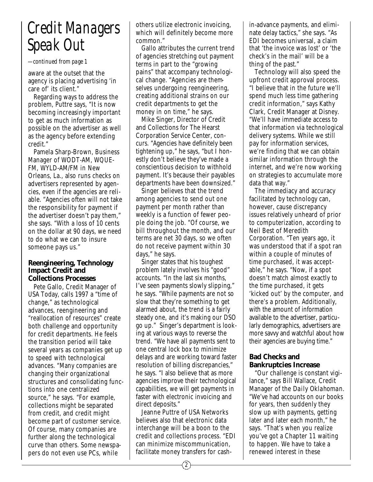## *Credit Managers Speak Out*

*—continued from page 1*

aware at the outset that the agency is placing advertising 'in care of' its client."

Regarding ways to address the problem, Puttre says, "It is now becoming increasingly important to get as much information as possible on the advertiser as well as the agency before extending credit."

Pamela Sharp-Brown, Business Manager of WODT-AM, WQUE-FM, WYLD-AM/FM in New Orleans, La., also runs checks on advertisers represented by agencies, even if the agencies are reliable. "Agencies often will not take the responsibility for payment if the advertiser doesn't pay them," she says. "With a loss of 10 cents on the dollar at 90 days, we need to do what we can to insure someone pays us."

### **Reengineering, Technology Impact Credit and Collections Processes**

Pete Gallo, Credit Manager of USA Today, calls 1997 a "time of change," as technological advances, reengineering and "reallocation of resources" create both challenge and opportunity for credit departments. He feels the transition period will take several years as companies get up to speed with technological advances. "Many companies are changing their organizational structures and consolidating functions into one centralized source," he says. "For example, collections might be separated from credit, and credit might become part of customer service. Of course, many companies are further along the technological curve than others. Some newspapers do not even use PCs, while

others utilize electronic invoicing, which will definitely become more common."

Gallo attributes the current trend of agencies stretching out payment terms in part to the "growing pains" that accompany technological change. "Agencies are themselves undergoing reengineering, creating additional strains on our credit departments to get the money in on time," he says.

Mike Singer, Director of Credit and Collections for The Hearst Corporation Service Center, concurs. "Agencies have definitely been tightening up," he says, "but I honestly don't believe they've made a conscientious decision to withhold payment. It's because their payables departments have been downsized."

Singer believes that the trend among agencies to send out one payment per month rather than weekly is a function of fewer people doing the job. "Of course, we bill throughout the month, and our terms are net 30 days, so we often do not receive payment within 30 days," he says.

Singer states that his toughest problem lately involves his "good" accounts. "In the last six months, I've seen payments slowly slipping," he says. "While payments are not so slow that they're something to get alarmed about, the trend is a fairly steady one, and it's making our DSO go up." Singer's department is looking at various ways to reverse the trend. "We have all payments sent to one central lock box to minimize delays and are working toward faster resolution of billing discrepancies," he says. "I also believe that as more agencies improve their technological capabilities, we will get payments in faster with electronic invoicing and direct deposits."

Jeanne Puttre of USA Networks believes also that electronic data interchange will be a boon to the credit and collections process. "EDI can minimize miscommunication, facilitate money transfers for cashin-advance payments, and eliminate delay tactics," she says. "As EDI becomes universal, a claim that 'the invoice was lost' or 'the check's in the mail' will be a thing of the past."

Technology will also speed the upfront credit approval process. "I believe that in the future we'll spend much less time gathering credit information," says Kathy Clark, Credit Manager at Disney. "We'll have immediate access to that information via technological delivery systems. While we still pay for information services, we're finding that we can obtain similar information through the internet, and we're now working on strategies to accumulate more data that way."

The immediacy and accuracy facilitated by technology can, however, cause discrepancy issues relatively unheard of prior to computerization, according to Neil Best of Meredith Corporation. "Ten years ago, it was understood that if a spot ran within a couple of minutes of time purchased, it was acceptable," he says. "Now, if a spot doesn't match almost exactly to the time purchased, it gets 'kicked out' by the computer, and there's a problem. Additionally, with the amount of information available to the advertiser, particularly demographics, advertisers are more savvy and watchful about how their agencies are buying time."

### **Bad Checks and Bankruptcies Increase**

"Our challenge is constant vigilance," says Bill Wallace, Credit Manager of the *Daily Oklahoman.* "We've had accounts on our books for years, then suddenly they slow up with payments, getting later and later each month," he says. "That's when you realize you've got a Chapter 11 waiting to happen. We have to take a renewed interest in these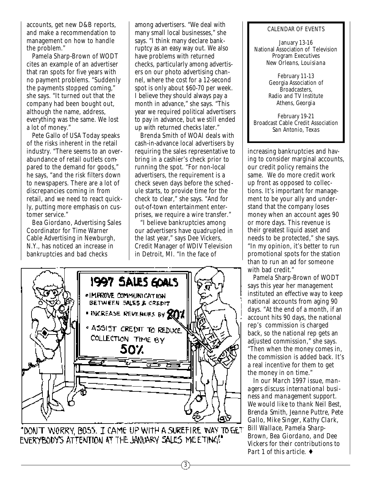accounts, get new D&B reports, and make a recommendation to management on how to handle the problem."

Pamela Sharp-Brown of WODT cites an example of an advertiser that ran spots for five years with no payment problems. "Suddenly the payments stopped coming," she says. "It turned out that the company had been bought out, although the name, address, everything was the same. We lost a lot of money."

Pete Gallo of USA Today speaks of the risks inherent in the retail industry. "There seems to an overabundance of retail outlets compared to the demand for goods," he says, "and the risk filters down to newspapers. There are a lot of discrepancies coming in from retail, and we need to react quickly, putting more emphasis on customer service."

Bea Giordano, Advertising Sales Coordinator for Time Warner Cable Advertising in Newburgh, N.Y., has noticed an increase in bankruptcies and bad checks

among advertisers. "We deal with many small local businesses," she says. "I think many declare bankruptcy as an easy way out. We also have problems with returned checks, particularly among advertisers on our photo advertising channel, where the cost for a 12-second spot is only about \$60-70 per week. I believe they should always pay a month in advance," she says. "This year we required political advertisers to pay in advance, but we still ended up with returned checks later."

Brenda Smith of WOAI deals with cash-in-advance local advertisers by requiring the sales representative to bring in a cashier's check prior to running the spot. "For non-local advertisers, the requirement is a check seven days before the schedule starts, to provide time for the check to clear," she says. "And for out-of-town entertainment enterprises, we require a wire transfer."

"I believe bankruptcies among our advertisers have quadrupled in the last year," says Dee Vickers, Credit Manager of WDIV Television in Detroit, MI. "In the face of

3



"DON'T WORRY, BOSS. I CAME UP WITH A SUREFIRE WAY TO GET EVERYBODY'S ATTENTION AT THE JANUARY SALES MEETING!

#### CALENDAR OF EVENTS

January 13-16 National Association of Television Program Executives *New Orleans, Louisiana*

> February 11-13 Georgia Association of Broadcasters, Radio and TV Institute *Athens, Georgia*

February 19-21 Broadcast Cable Credit Association *San Antonio, Texas*

increasing bankruptcies and having to consider marginal accounts, our credit policy remains the same. We do more credit work up front as opposed to collections. It's important for management to be your ally and understand that the company loses money when an account ages 90 or more days. This revenue is their greatest liquid asset and needs to be protected," she says. "In my opinion, it's better to run promotional spots for the station than to run an ad for someone with bad credit."

Pamela Sharp-Brown of WODT says this year her management instituted an effective way to keep national accounts from aging 90 days. "At the end of a month, if an account hits 90 days, the national rep's commission is charged back, so the national rep gets an adjusted commission," she says. "Then when the money comes in, the commission is added back. It's a real incentive for them to get the money in on time."

*In our March 1997 issue, managers discuss international business and management support. We would like to thank Neil Best, Brenda Smith, Jeanne Puttre, Pete Gallo, Mike Singer, Kathy Clark, Bill Wallace, Pamela Sharp-Brown, Bea Giordano, and Dee Vickers for their contributions to Part 1 of this article.* ♦